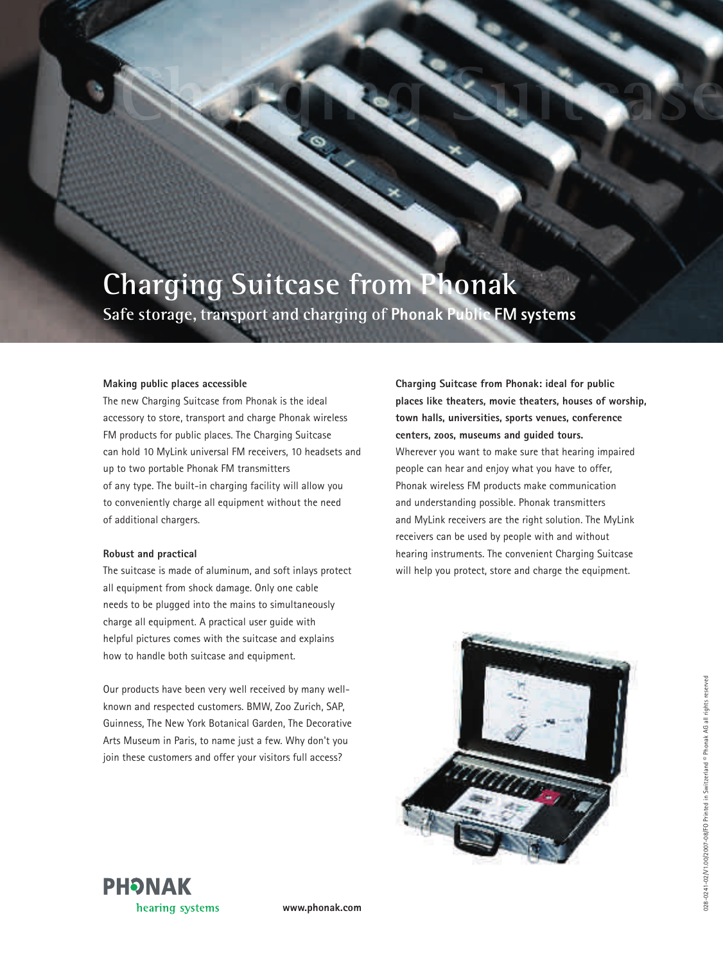## **Charging Suitcase from Phonak**

**Safe storage, transport and charging of Phonak Public FM systems**

## **Making public places accessible**

The new Charging Suitcase from Phonak is the ideal accessory to store, transport and charge Phonak wireless FM products for public places. The Charging Suitcase can hold 10 MyLink universal FM receivers, 10 headsets and up to two portable Phonak FM transmitters of any type. The built-in charging facility will allow you to conveniently charge all equipment without the need of additional chargers.

## **Robust and practical**

The suitcase is made of aluminum, and soft inlays protect all equipment from shock damage. Only one cable needs to be plugged into the mains to simultaneously charge all equipment. A practical user guide with helpful pictures comes with the suitcase and explains how to handle both suitcase and equipment.

Our products have been very well received by many wellknown and respected customers. BMW, Zoo Zurich, SAP, Guinness, The New York Botanical Garden, The Decorative Arts Museum in Paris, to name just a few. Why don't you join these customers and offer your visitors full access?

**Charging Suitcase from Phonak: ideal for public places like theaters, movie theaters, houses of worship, town halls, universities, sports venues, conference centers, zoos, museums and guided tours.** Wherever you want to make sure that hearing impaired people can hear and enjoy what you have to offer, Phonak wireless FM products make communication and understanding possible. Phonak transmitters and MyLink receivers are the right solution. The MyLink receivers can be used by people with and without hearing instruments. The convenient Charging Suitcase will help you protect, store and charge the equipment.





**www.phonak.com**